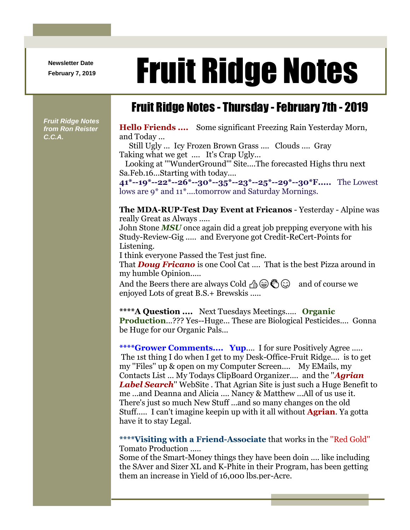**Newsletter Date**

## Newsletter Date **Fruit Ridge Notes**

## Fruit Ridge Notes - Thursday -February 7th - 2019

*Fruit Ridge Notes from Ron Reister C.C.A.*

**Hello Friends ....** Some significant Freezing Rain Yesterday Morn, and Today ...

Still Ugly ... Icy Frozen Brown Grass .... Clouds .... Gray Taking what we get .... It's Crap Ugly...

Looking at '''WunderGround''' Site....The forecasted Highs thru next Sa.Feb.16...Starting with today....

**41\*--19\*--22\*--26\*--30\*--35\*--23\*--25\*--29\*--30\*F.....** The Lowest lows are 9\* and 11\*....tomorrow and Saturday Mornings.

**The MDA-RUP-Test Day Event at Fricanos** - Yesterday - Alpine was really Great as Always .....

John Stone *MSU* once again did a great job prepping everyone with his Study-Review-Gig ..... and Everyone got Credit-ReCert-Points for Listening.

I think everyone Passed the Test just fine.

That *Doug Fricano* is one Cool Cat .... That is the best Pizza around in my humble Opinion.....

And the Beers there are always Cold  $\mathcal{A}_\oplus \otimes \mathcal{A}_\oplus$  and of course we enjoyed Lots of great B.S.+ Brewskis .....

**\*\*\*\*A Question ....** Next Tuesdays Meetings..... **Organic Production**...??? Yes--Huge... These are Biological Pesticides.... Gonna be Huge for our Organic Pals...

**\*\*\*\*Grower Comments.... Yup**.... I for sure Positively Agree ..... The 1st thing I do when I get to my Desk-Office-Fruit Ridge.... is to get my ''Files'' up & open on my Computer Screen.... My EMails, my Contacts List ... My Todays ClipBoard Organizer.... and the ''*Agrian Label Search*'' WebSite . That Agrian Site is just such a Huge Benefit to me ...and Deanna and Alicia .... Nancy & Matthew ...All of us use it. There's just so much New Stuff ...and so many changes on the old Stuff..... I can't imagine keepin up with it all without **Agrian**. Ya gotta have it to stay Legal.

**\*\*\*\*Visiting with a Friend-Associate** that works in the ''Red Gold'' Tomato Production .....

Some of the Smart-Money things they have been doin .... like including the SAver and Sizer XL and K-Phite in their Program, has been getting them an increase in Yield of 16,000 lbs.per-Acre.